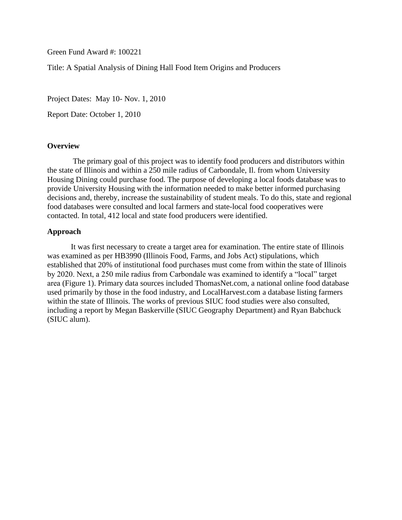Green Fund Award #: 100221

Title: A Spatial Analysis of Dining Hall Food Item Origins and Producers

Project Dates: May 10- Nov. 1, 2010

[Report Date: Octo](mailto:mtrotter@siu.edu)ber 1, 2010

#### **Overview**

 The primary goal of this project was to identify food producers and distributors within the state of Illinois and within a 250 mile radius of Carbondale, Il. from whom University [Housing Dining cou](mailto:eseekamp@siu.edu)ld purchase food. The purpose of developing a local foods database was to provide University Housing with the information needed to make better informed purchasing decisions and, thereby, increase the sustainability of student meals. To do this, state and regional food databases were consulted and local farmers and state-local food cooperatives were contacted. In total, 412 local and state food producers were identified.

## **[Approach](mailto:chefbill@siu.edu)**

It was first necessary to create a target area for examination. The entire state of Illinois was examined as per HB3990 (Illinois Food, Farms, and Jobs Act) stipulations, which established that 20% of institutional food purchases must come from within the state of Illinois by 2020. Next, a 250 mile radius from Carbondale was examined to identify a "local" target area (Figure 1). Primary data sources included ThomasNet.com, a national online food database used primarily by those in the food industry, and LocalHarvest.com a database listing farmers within the state of Illinois. The works of previous SIUC food studies were also consulted, including a report by Megan Baskerville (SIUC Geography Department) and Ryan Babchuck (SIUC alum).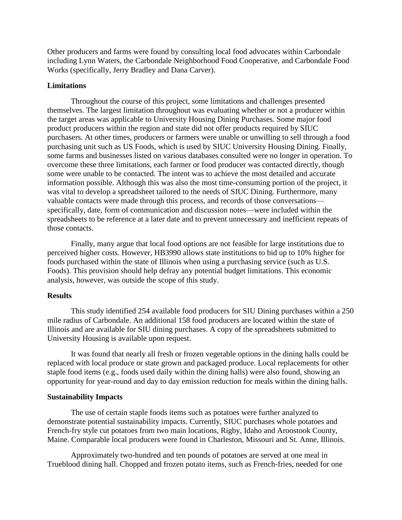Other producers and farms were found by consulting local food advocates within Carbondale including Lynn Waters, the Carbondale Neighborhood Food Cooperative, and Carbondale Food Works (specifically, Jerry Bradley and Dana Carver).

# **Limitations**

Throughout the course of this project, some limitations and challenges presented themselves. The largest limitation throughout was evaluating whether or not a producer within the target areas was applicable to University Housing Dining Purchases. Some major food product producers within the region and state did not offer products required by SIUC purchasers. At other times, producers or farmers were unable or unwilling to sell through a food purchasing unit such as US Foods, which is used by SIUC University Housing Dining. Finally, some farms and businesses listed on various databases consulted were no longer in operation. To overcome these three limitations, each farmer or food producer was contacted directly, though some were unable to be contacted. The intent was to achieve the most detailed and accurate information possible. Although this was also the most time-consuming portion of the project, it was vital to develop a spreadsheet tailored to the needs of SIUC Dining. Furthermore, many valuable contacts were made through this process, and records of those conversations specifically, date, form of communication and discussion notes—were included within the spreadsheets to be reference at a later date and to prevent unnecessary and inefficient repeats of those contacts.

Finally, many argue that local food options are not feasible for large institutions due to perceived higher costs. However, HB3990 allows state institutions to bid up to 10% higher for foods purchased within the state of Illinois when using a purchasing service (such as U.S. Foods). This provision should help defray any potential budget limitations. This economic analysis, however, was outside the scope of this study.

## **Results**

This study identified 254 available food producers for SIU Dining purchases within a 250 mile radius of Carbondale. An additional 158 food producers are located within the state of Illinois and are available for SIU dining purchases. A copy of the spreadsheets submitted to University Housing is available upon request.

It was found that nearly all fresh or frozen vegetable options in the dining halls could be replaced with local produce or state grown and packaged produce. Local replacements for other staple food items (e.g., foods used daily within the dining halls) were also found, showing an opportunity for year-round and day to day emission reduction for meals within the dining halls.

## **Sustainability Impacts**

The use of certain staple foods items such as potatoes were further analyzed to demonstrate potential sustainability impacts. Currently, SIUC purchases whole potatoes and French-fry style cut potatoes from two main locations, Rigby, Idaho and Aroostook County, Maine. Comparable local producers were found in Charleston, Missouri and St. Anne, Illinois.

Approximately two-hundred and ten pounds of potatoes are served at one meal in Trueblood dining hall. Chopped and frozen potato items, such as French-fries, needed for one